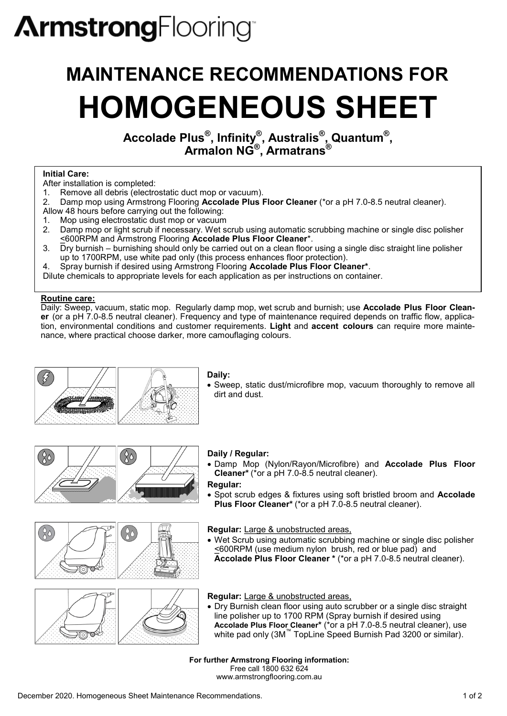# **ArmstrongFlooring**

# **MAINTENANCE RECOMMENDATIONS FOR HOMOGENEOUS SHEET**

**Accolade Plus® , Infinity® , Australis® , Quantum® , Armalon NG® , Armatrans®**

## **Initial Care:**

- After installation is completed:
- 1. Remove all debris (electrostatic duct mop or vacuum).<br>2. Damp mop using Armstrong Flooring **Accolade Plus**
- 2. Damp mop using Armstrong Flooring **Accolade Plus Floor Cleaner** (\*or a pH 7.0-8.5 neutral cleaner).
- Allow 48 hours before carrying out the following:
- 1. Mop using electrostatic dust mop or vacuum
- 2. Damp mop or light scrub if necessary. Wet scrub using automatic scrubbing machine or single disc polisher <600RPM and Armstrong Flooring **Accolade Plus Floor Cleaner**\*.
- 3. Dry burnish burnishing should only be carried out on a clean floor using a single disc straight line polisher up to 1700RPM, use white pad only (this process enhances floor protection).

4. Spray burnish if desired using Armstrong Flooring **Accolade Plus Floor Cleaner\***.

Dilute chemicals to appropriate levels for each application as per instructions on container.

## **Routine care:**

 $20$ 

Daily: Sweep, vacuum, static mop. Regularly damp mop, wet scrub and burnish; use **Accolade Plus Floor Cleaner** (or a pH 7.0-8.5 neutral cleaner). Frequency and type of maintenance required depends on traffic flow, application, environmental conditions and customer requirements. **Light** and **accent colours** can require more maintenance, where practical choose darker, more camouflaging colours.



## **Daily:**

• Sweep, static dust/microfibre mop, vacuum thoroughly to remove all dirt and dust.



# **Daily / Regular:**

• Damp Mop (Nylon/Rayon/Microfibre) and **Accolade Plus Floor Cleaner\*** (\*or a pH 7.0-8.5 neutral cleaner).

## **Regular:**

• Spot scrub edges & fixtures using soft bristled broom and **Accolade Plus Floor Cleaner\*** (\*or a pH 7.0-8.5 neutral cleaner).

**Regular:** Large & unobstructed areas,

• Wet Scrub using automatic scrubbing machine or single disc polisher <600RPM (use medium nylon brush, red or blue pad) and **Accolade Plus Floor Cleaner \*** (\*or a pH 7.0-8.5 neutral cleaner).



- **Regular:** Large & unobstructed areas,
- Dry Burnish clean floor using auto scrubber or a single disc straight line polisher up to 1700 RPM (Spray burnish if desired using **Accolade Plus Floor Cleaner\*** (\*or a pH 7.0-8.5 neutral cleaner), use white pad only (3M™ TopLine Speed Burnish Pad 3200 or similar).

**For further Armstrong Flooring information:** Free call 1800 632 624 www.armstrongflooring.com.au